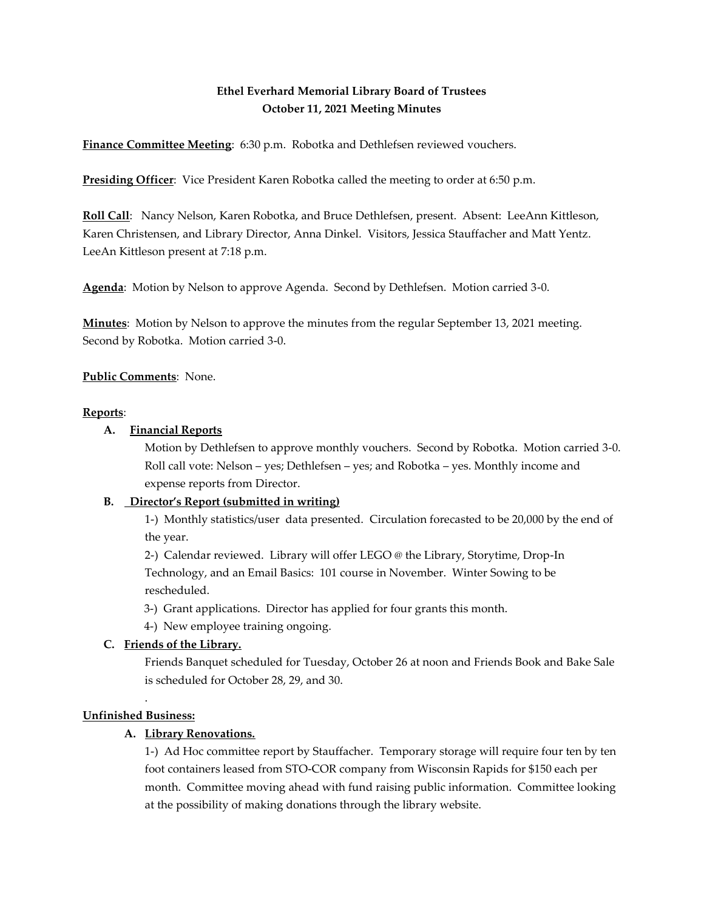## **Ethel Everhard Memorial Library Board of Trustees October 11, 2021 Meeting Minutes**

**Finance Committee Meeting**: 6:30 p.m. Robotka and Dethlefsen reviewed vouchers.

**Presiding Officer**: Vice President Karen Robotka called the meeting to order at 6:50 p.m.

**Roll Call**: Nancy Nelson, Karen Robotka, and Bruce Dethlefsen, present. Absent: LeeAnn Kittleson, Karen Christensen, and Library Director, Anna Dinkel. Visitors, Jessica Stauffacher and Matt Yentz. LeeAn Kittleson present at 7:18 p.m.

**Agenda**: Motion by Nelson to approve Agenda. Second by Dethlefsen. Motion carried 3-0.

**Minutes**: Motion by Nelson to approve the minutes from the regular September 13, 2021 meeting. Second by Robotka. Motion carried 3-0.

#### **Public Comments**: None.

#### **Reports**:

#### **A. Financial Reports**

Motion by Dethlefsen to approve monthly vouchers. Second by Robotka. Motion carried 3-0. Roll call vote: Nelson – yes; Dethlefsen – yes; and Robotka – yes. Monthly income and expense reports from Director.

#### **B. Director's Report (submitted in writing)**

1-) Monthly statistics/user data presented. Circulation forecasted to be 20,000 by the end of the year.

2-) Calendar reviewed. Library will offer LEGO @ the Library, Storytime, Drop-In Technology, and an Email Basics: 101 course in November. Winter Sowing to be rescheduled.

3-) Grant applications. Director has applied for four grants this month.

4-) New employee training ongoing.

#### **C. Friends of the Library.**

Friends Banquet scheduled for Tuesday, October 26 at noon and Friends Book and Bake Sale is scheduled for October 28, 29, and 30.

#### . **Unfinished Business:**

#### **A. Library Renovations.**

1-) Ad Hoc committee report by Stauffacher. Temporary storage will require four ten by ten foot containers leased from STO-COR company from Wisconsin Rapids for \$150 each per month. Committee moving ahead with fund raising public information. Committee looking at the possibility of making donations through the library website.